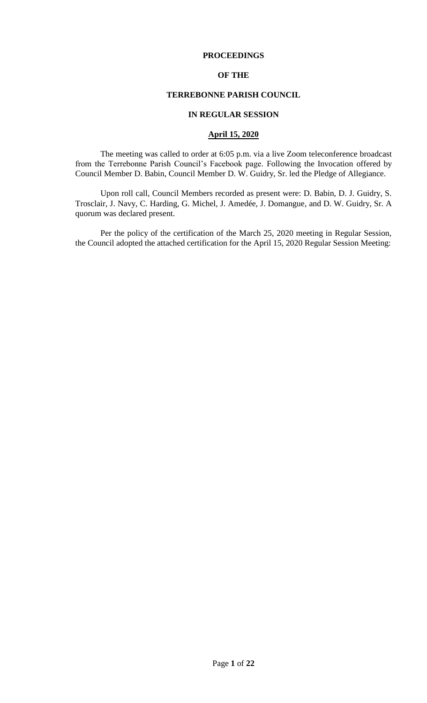## **PROCEEDINGS**

## **OF THE**

# **TERREBONNE PARISH COUNCIL**

## **IN REGULAR SESSION**

## **April 15, 2020**

The meeting was called to order at 6:05 p.m. via a live Zoom teleconference broadcast from the Terrebonne Parish Council's Facebook page. Following the Invocation offered by Council Member D. Babin, Council Member D. W. Guidry, Sr. led the Pledge of Allegiance.

Upon roll call, Council Members recorded as present were: D. Babin, D. J. Guidry, S. Trosclair, J. Navy, C. Harding, G. Michel, J. Amedée, J. Domangue, and D. W. Guidry, Sr. A quorum was declared present.

Per the policy of the certification of the March 25, 2020 meeting in Regular Session, the Council adopted the attached certification for the April 15, 2020 Regular Session Meeting: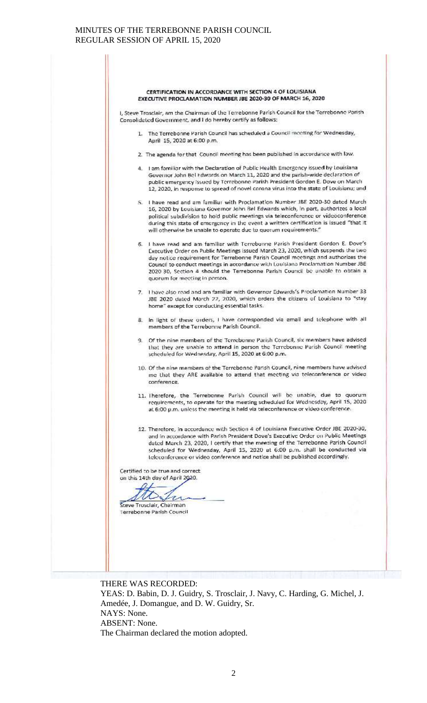#### CERTIFICATION IN ACCORDANCE WITH SECTION 4 OF LOUISIANA EXECUTIVE PROCLAMATION NUMBER JBE 2020-30 OF MARCH 16, 2020

I, Steve Trosclair, am the Chairman of the Terrebonne Parish Council for the Terrebonne Porish Consolidated Government, and I do hereby certify as follows:

- 1. The Terrebonne Parish Council has scheduled a Council meeting for Wednesday, April 15, 2020 at 6:00 p.m.
- 2. The agenda for that Council meeting has been published in accordance with law.
- 4. I am familiar with the Declaration of Public Health Emergency issued by Louisiana Governor John Bel Edwards on March 11, 2020 and the parish-wide declaration of public emergency issued by Terrebonne Parish President Gordon E. Dove on March 12, 2020, in response to spread of novel corona virus into the state of Louisiana; and
- 5. I have read and am familiar with Proclamation Number JBE 2020-30 dated March 16, 2020 by Louisiana Governor John Bel Edwards which, in part, authorizes a local political subdivision to hold public meetings via teleconference or videoconference during this state of emergency in the event a written certification is issued "that it will otherwise be unable to operate due to quorum requirements."
- 6. I have read and am familiar with Torrebonne Parish President Gordon E. Dove's Executive Order on Public Meetings issued March 23, 2020, which suspends the two duy notice requirement for Terrebonne Parish Council meetings and authorizes the Council to conduct meetings in accordance with Louisiana Proclamation Number JBE 2020 30, Section 4 should the Terrebonne Parish Council be unable to obtain a quorum for meeting in person.
- 7. Thave also read and am familiar with Governor Edwards's Proclamation Number 33 JBE 2020 dated March 22, 2020, which orders the citizens of Louisiana to "stay home" except for conducting essential tasks.
- 8. In light of these orders, I have corresponded via email and telephone with all members of the Terrebonne Parish Council.
- 9. Of the nine members of the Terrebonne Parish Council, six members have advised that they are unable to attend in person the Terrebonne Parish Council meeting scheduled for Wednesday, April 15, 2020 at 6:00 p.m.
- 10. Of the nine members of the Terrebonne Parish Council, nine members have advised me that they ARE available to attend that meeting via teleconference or video. conference.
- 11. Therefore, the Terrebonne Parish Council will be unable, due to quorum requirements, to operate for the meeting scheduled for Wednesday, April 15, 2020 at 6:00 p.m. unless the meeting is held via teleconference or video conference.
- 12. Therefore, in accordance with Section 4 of Louisiana Executive Order JBE 2020-30, and in accordance with Parish President Dove's Executive Order on Public Meetings dated March 23, 2020, I certify that the meeting of the Terrebonne Parish Council scheduled for Wednesday, April 15, 2020 at 6:00 p.m. shall be conducted via teleconference or video conference and notice shall be published accordingly.

Certified to be true and correct. on this 14th day of April 2020.

 $\varpi$ r  $\mu$ 

Steve Trosclair, Chairman Terrebonne Parish Council

THERE WAS RECORDED: YEAS: D. Babin, D. J. Guidry, S. Trosclair, J. Navy, C. Harding, G. Michel, J. Amedée, J. Domangue, and D. W. Guidry, Sr. NAYS: None. ABSENT: None. The Chairman declared the motion adopted.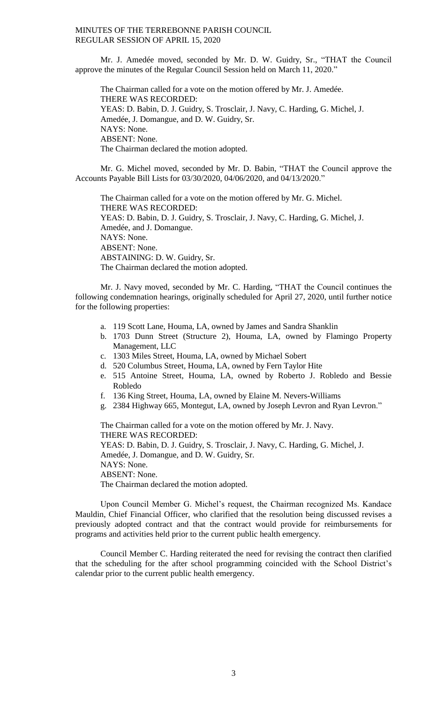Mr. J. Amedée moved, seconded by Mr. D. W. Guidry, Sr., "THAT the Council approve the minutes of the Regular Council Session held on March 11, 2020."

The Chairman called for a vote on the motion offered by Mr. J. Amedée. THERE WAS RECORDED: YEAS: D. Babin, D. J. Guidry, S. Trosclair, J. Navy, C. Harding, G. Michel, J. Amedée, J. Domangue, and D. W. Guidry, Sr. NAYS: None. ABSENT: None. The Chairman declared the motion adopted.

Mr. G. Michel moved, seconded by Mr. D. Babin, "THAT the Council approve the Accounts Payable Bill Lists for 03/30/2020, 04/06/2020, and 04/13/2020."

The Chairman called for a vote on the motion offered by Mr. G. Michel. THERE WAS RECORDED: YEAS: D. Babin, D. J. Guidry, S. Trosclair, J. Navy, C. Harding, G. Michel, J. Amedée, and J. Domangue. NAYS: None. ABSENT: None. ABSTAINING: D. W. Guidry, Sr. The Chairman declared the motion adopted.

Mr. J. Navy moved, seconded by Mr. C. Harding, "THAT the Council continues the following condemnation hearings, originally scheduled for April 27, 2020, until further notice for the following properties:

- a. 119 Scott Lane, Houma, LA, owned by James and Sandra Shanklin
- b. 1703 Dunn Street (Structure 2), Houma, LA, owned by Flamingo Property Management, LLC
- c. 1303 Miles Street, Houma, LA, owned by Michael Sobert
- d. 520 Columbus Street, Houma, LA, owned by Fern Taylor Hite
- e. 515 Antoine Street, Houma, LA, owned by Roberto J. Robledo and Bessie Robledo
- f. 136 King Street, Houma, LA, owned by Elaine M. Nevers-Williams
- g. 2384 Highway 665, Montegut, LA, owned by Joseph Levron and Ryan Levron."

The Chairman called for a vote on the motion offered by Mr. J. Navy. THERE WAS RECORDED: YEAS: D. Babin, D. J. Guidry, S. Trosclair, J. Navy, C. Harding, G. Michel, J. Amedée, J. Domangue, and D. W. Guidry, Sr. NAYS: None. ABSENT: None. The Chairman declared the motion adopted.

Upon Council Member G. Michel's request, the Chairman recognized Ms. Kandace Mauldin, Chief Financial Officer, who clarified that the resolution being discussed revises a previously adopted contract and that the contract would provide for reimbursements for programs and activities held prior to the current public health emergency.

Council Member C. Harding reiterated the need for revising the contract then clarified that the scheduling for the after school programming coincided with the School District's calendar prior to the current public health emergency.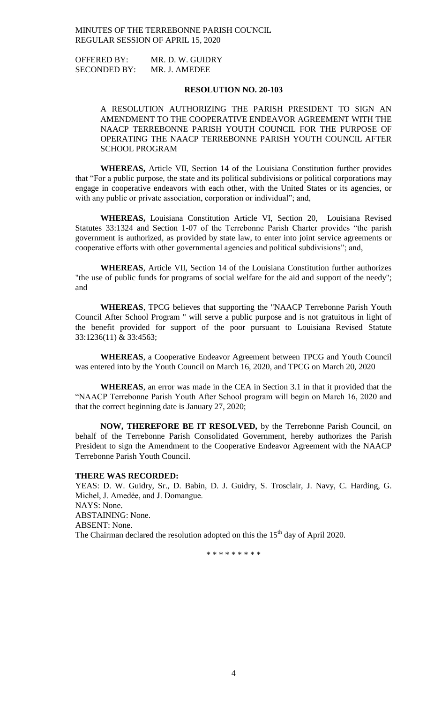OFFERED BY: MR. D. W. GUIDRY SECONDED BY: MR. J. AMEDEE

## **RESOLUTION NO. 20-103**

A RESOLUTION AUTHORIZING THE PARISH PRESIDENT TO SIGN AN AMENDMENT TO THE COOPERATIVE ENDEAVOR AGREEMENT WITH THE NAACP TERREBONNE PARISH YOUTH COUNCIL FOR THE PURPOSE OF OPERATING THE NAACP TERREBONNE PARISH YOUTH COUNCIL AFTER SCHOOL PROGRAM

**WHEREAS,** Article VII, Section 14 of the Louisiana Constitution further provides that "For a public purpose, the state and its political subdivisions or political corporations may engage in cooperative endeavors with each other, with the United States or its agencies, or with any public or private association, corporation or individual"; and,

**WHEREAS,** Louisiana Constitution Article VI, Section 20, Louisiana Revised Statutes 33:1324 and Section 1-07 of the Terrebonne Parish Charter provides "the parish government is authorized, as provided by state law, to enter into joint service agreements or cooperative efforts with other governmental agencies and political subdivisions"; and,

**WHEREAS**, Article VII, Section 14 of the Louisiana Constitution further authorizes "the use of public funds for programs of social welfare for the aid and support of the needy"; and

**WHEREAS**, TPCG believes that supporting the "NAACP Terrebonne Parish Youth Council After School Program " will serve a public purpose and is not gratuitous in light of the benefit provided for support of the poor pursuant to Louisiana Revised Statute 33:1236(11) & 33:4563;

**WHEREAS**, a Cooperative Endeavor Agreement between TPCG and Youth Council was entered into by the Youth Council on March 16, 2020, and TPCG on March 20, 2020

**WHEREAS**, an error was made in the CEA in Section 3.1 in that it provided that the "NAACP Terrebonne Parish Youth After School program will begin on March 16, 2020 and that the correct beginning date is January 27, 2020;

**NOW, THEREFORE BE IT RESOLVED,** by the Terrebonne Parish Council, on behalf of the Terrebonne Parish Consolidated Government, hereby authorizes the Parish President to sign the Amendment to the Cooperative Endeavor Agreement with the NAACP Terrebonne Parish Youth Council.

### **THERE WAS RECORDED:**

YEAS: D. W. Guidry, Sr., D. Babin, D. J. Guidry, S. Trosclair, J. Navy, C. Harding, G. Michel, J. Amedėe, and J. Domangue. NAYS: None. ABSTAINING: None. ABSENT: None. The Chairman declared the resolution adopted on this the  $15<sup>th</sup>$  day of April 2020.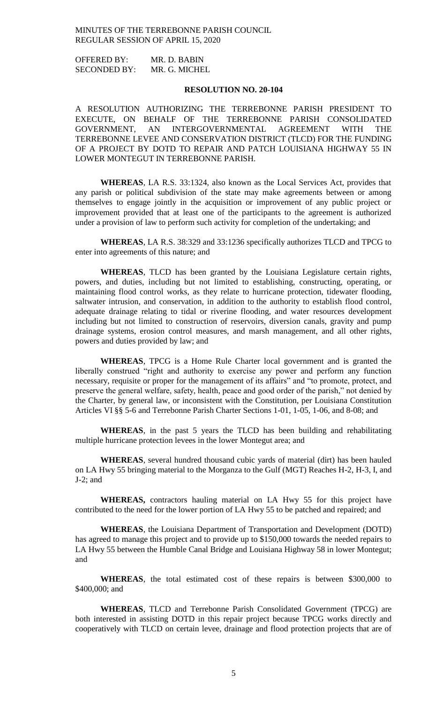OFFERED BY: MR. D. BABIN SECONDED BY: MR. G. MICHEL

### **RESOLUTION NO. 20-104**

A RESOLUTION AUTHORIZING THE TERREBONNE PARISH PRESIDENT TO EXECUTE, ON BEHALF OF THE TERREBONNE PARISH CONSOLIDATED GOVERNMENT, AN INTERGOVERNMENTAL AGREEMENT WITH THE TERREBONNE LEVEE AND CONSERVATION DISTRICT (TLCD) FOR THE FUNDING OF A PROJECT BY DOTD TO REPAIR AND PATCH LOUISIANA HIGHWAY 55 IN LOWER MONTEGUT IN TERREBONNE PARISH.

**WHEREAS**, LA R.S. 33:1324, also known as the Local Services Act, provides that any parish or political subdivision of the state may make agreements between or among themselves to engage jointly in the acquisition or improvement of any public project or improvement provided that at least one of the participants to the agreement is authorized under a provision of law to perform such activity for completion of the undertaking; and

**WHEREAS**, LA R.S. 38:329 and 33:1236 specifically authorizes TLCD and TPCG to enter into agreements of this nature; and

**WHEREAS**, TLCD has been granted by the Louisiana Legislature certain rights, powers, and duties, including but not limited to establishing, constructing, operating, or maintaining flood control works, as they relate to hurricane protection, tidewater flooding, saltwater intrusion, and conservation, in addition to the authority to establish flood control, adequate drainage relating to tidal or riverine flooding, and water resources development including but not limited to construction of reservoirs, diversion canals, gravity and pump drainage systems, erosion control measures, and marsh management, and all other rights, powers and duties provided by law; and

**WHEREAS**, TPCG is a Home Rule Charter local government and is granted the liberally construed "right and authority to exercise any power and perform any function necessary, requisite or proper for the management of its affairs" and "to promote, protect, and preserve the general welfare, safety, health, peace and good order of the parish," not denied by the Charter, by general law, or inconsistent with the Constitution, per Louisiana Constitution Articles VI §§ 5-6 and Terrebonne Parish Charter Sections 1-01, 1-05, 1-06, and 8-08; and

**WHEREAS**, in the past 5 years the TLCD has been building and rehabilitating multiple hurricane protection levees in the lower Montegut area; and

**WHEREAS**, several hundred thousand cubic yards of material (dirt) has been hauled on LA Hwy 55 bringing material to the Morganza to the Gulf (MGT) Reaches H-2, H-3, I, and J-2; and

**WHEREAS,** contractors hauling material on LA Hwy 55 for this project have contributed to the need for the lower portion of LA Hwy 55 to be patched and repaired; and

**WHEREAS**, the Louisiana Department of Transportation and Development (DOTD) has agreed to manage this project and to provide up to \$150,000 towards the needed repairs to LA Hwy 55 between the Humble Canal Bridge and Louisiana Highway 58 in lower Montegut; and

**WHEREAS**, the total estimated cost of these repairs is between \$300,000 to \$400,000; and

**WHEREAS**, TLCD and Terrebonne Parish Consolidated Government (TPCG) are both interested in assisting DOTD in this repair project because TPCG works directly and cooperatively with TLCD on certain levee, drainage and flood protection projects that are of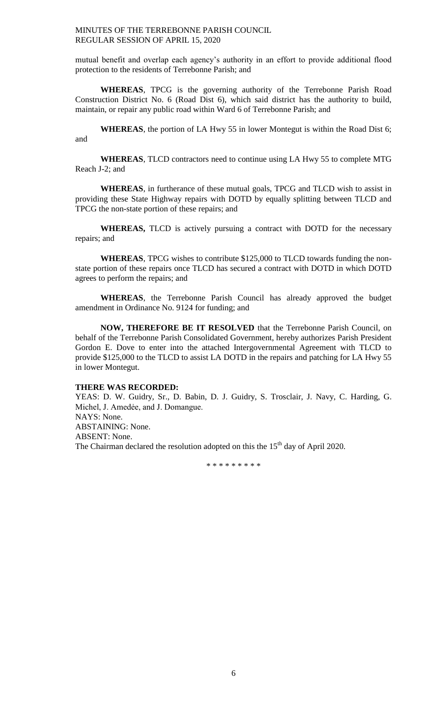mutual benefit and overlap each agency's authority in an effort to provide additional flood protection to the residents of Terrebonne Parish; and

**WHEREAS**, TPCG is the governing authority of the Terrebonne Parish Road Construction District No. 6 (Road Dist 6), which said district has the authority to build, maintain, or repair any public road within Ward 6 of Terrebonne Parish; and

**WHEREAS**, the portion of LA Hwy 55 in lower Montegut is within the Road Dist 6; and

**WHEREAS**, TLCD contractors need to continue using LA Hwy 55 to complete MTG Reach J-2; and

**WHEREAS**, in furtherance of these mutual goals, TPCG and TLCD wish to assist in providing these State Highway repairs with DOTD by equally splitting between TLCD and TPCG the non-state portion of these repairs; and

**WHEREAS,** TLCD is actively pursuing a contract with DOTD for the necessary repairs; and

**WHEREAS**, TPCG wishes to contribute \$125,000 to TLCD towards funding the nonstate portion of these repairs once TLCD has secured a contract with DOTD in which DOTD agrees to perform the repairs; and

**WHEREAS**, the Terrebonne Parish Council has already approved the budget amendment in Ordinance No. 9124 for funding; and

**NOW, THEREFORE BE IT RESOLVED** that the Terrebonne Parish Council, on behalf of the Terrebonne Parish Consolidated Government, hereby authorizes Parish President Gordon E. Dove to enter into the attached Intergovernmental Agreement with TLCD to provide \$125,000 to the TLCD to assist LA DOTD in the repairs and patching for LA Hwy 55 in lower Montegut.

### **THERE WAS RECORDED:**

YEAS: D. W. Guidry, Sr., D. Babin, D. J. Guidry, S. Trosclair, J. Navy, C. Harding, G. Michel, J. Amedẻe, and J. Domangue. NAYS: None. ABSTAINING: None. ABSENT: None.

The Chairman declared the resolution adopted on this the  $15<sup>th</sup>$  day of April 2020.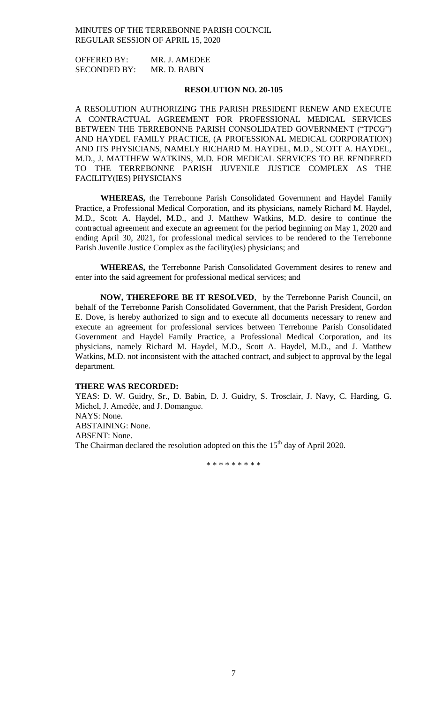OFFERED BY: MR. J. AMEDEE SECONDED BY: MR. D. BABIN

### **RESOLUTION NO. 20-105**

A RESOLUTION AUTHORIZING THE PARISH PRESIDENT RENEW AND EXECUTE A CONTRACTUAL AGREEMENT FOR PROFESSIONAL MEDICAL SERVICES BETWEEN THE TERREBONNE PARISH CONSOLIDATED GOVERNMENT ("TPCG") AND HAYDEL FAMILY PRACTICE, (A PROFESSIONAL MEDICAL CORPORATION) AND ITS PHYSICIANS, NAMELY RICHARD M. HAYDEL, M.D., SCOTT A. HAYDEL, M.D., J. MATTHEW WATKINS, M.D. FOR MEDICAL SERVICES TO BE RENDERED TO THE TERREBONNE PARISH JUVENILE JUSTICE COMPLEX AS THE FACILITY(IES) PHYSICIANS

**WHEREAS,** the Terrebonne Parish Consolidated Government and Haydel Family Practice, a Professional Medical Corporation, and its physicians, namely Richard M. Haydel, M.D., Scott A. Haydel, M.D., and J. Matthew Watkins, M.D. desire to continue the contractual agreement and execute an agreement for the period beginning on May 1, 2020 and ending April 30, 2021, for professional medical services to be rendered to the Terrebonne Parish Juvenile Justice Complex as the facility(ies) physicians; and

**WHEREAS,** the Terrebonne Parish Consolidated Government desires to renew and enter into the said agreement for professional medical services; and

**NOW, THEREFORE BE IT RESOLVED**, by the Terrebonne Parish Council, on behalf of the Terrebonne Parish Consolidated Government, that the Parish President, Gordon E. Dove, is hereby authorized to sign and to execute all documents necessary to renew and execute an agreement for professional services between Terrebonne Parish Consolidated Government and Haydel Family Practice, a Professional Medical Corporation, and its physicians, namely Richard M. Haydel, M.D., Scott A. Haydel, M.D., and J. Matthew Watkins, M.D. not inconsistent with the attached contract, and subject to approval by the legal department.

#### **THERE WAS RECORDED:**

YEAS: D. W. Guidry, Sr., D. Babin, D. J. Guidry, S. Trosclair, J. Navy, C. Harding, G. Michel, J. Amedẻe, and J. Domangue. NAYS: None. ABSTAINING: None. ABSENT: None.

The Chairman declared the resolution adopted on this the  $15<sup>th</sup>$  day of April 2020.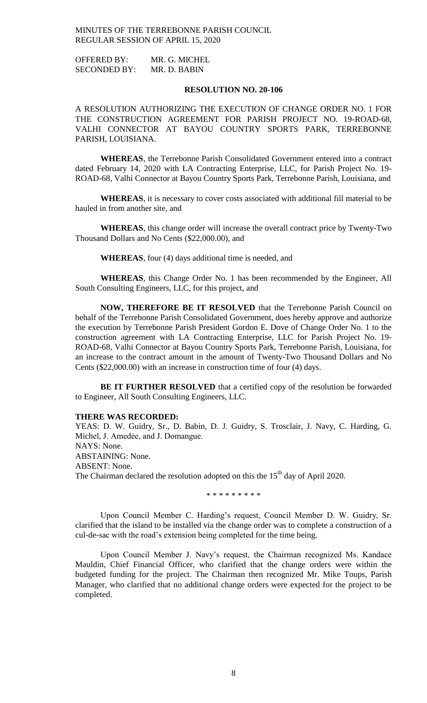OFFERED BY: MR. G. MICHEL SECONDED BY: MR. D. BABIN

### **RESOLUTION NO. 20-106**

A RESOLUTION AUTHORIZING THE EXECUTION OF CHANGE ORDER NO. 1 FOR THE CONSTRUCTION AGREEMENT FOR PARISH PROJECT NO. 19-ROAD-68, VALHI CONNECTOR AT BAYOU COUNTRY SPORTS PARK, TERREBONNE PARISH, LOUISIANA.

**WHEREAS**, the Terrebonne Parish Consolidated Government entered into a contract dated February 14, 2020 with LA Contracting Enterprise, LLC, for Parish Project No. 19- ROAD-68, Valhi Connector at Bayou Country Sports Park, Terrebonne Parish, Louisiana, and

**WHEREAS**, it is necessary to cover costs associated with additional fill material to be hauled in from another site, and

**WHEREAS**, this change order will increase the overall contract price by Twenty-Two Thousand Dollars and No Cents (\$22,000.00), and

**WHEREAS**, four (4) days additional time is needed, and

**WHEREAS**, this Change Order No. 1 has been recommended by the Engineer, All South Consulting Engineers, LLC, for this project, and

**NOW, THEREFORE BE IT RESOLVED** that the Terrebonne Parish Council on behalf of the Terrebonne Parish Consolidated Government, does hereby approve and authorize the execution by Terrebonne Parish President Gordon E. Dove of Change Order No. 1 to the construction agreement with LA Contracting Enterprise, LLC for Parish Project No. 19- ROAD-68, Valhi Connector at Bayou Country Sports Park, Terrebonne Parish, Louisiana, for an increase to the contract amount in the amount of Twenty-Two Thousand Dollars and No Cents (\$22,000.00) with an increase in construction time of four (4) days.

**BE IT FURTHER RESOLVED** that a certified copy of the resolution be forwarded to Engineer, All South Consulting Engineers, LLC.

#### **THERE WAS RECORDED:**

YEAS: D. W. Guidry, Sr., D. Babin, D. J. Guidry, S. Trosclair, J. Navy, C. Harding, G. Michel, J. Amedėe, and J. Domangue.

NAYS: None.

ABSTAINING: None.

ABSENT: None.

The Chairman declared the resolution adopted on this the  $15<sup>th</sup>$  day of April 2020.

\* \* \* \* \* \* \* \* \*

Upon Council Member C. Harding's request, Council Member D. W. Guidry, Sr. clarified that the island to be installed via the change order was to complete a construction of a cul-de-sac with the road's extension being completed for the time being.

Upon Council Member J. Navy's request, the Chairman recognized Ms. Kandace Mauldin, Chief Financial Officer, who clarified that the change orders were within the budgeted funding for the project. The Chairman then recognized Mr. Mike Toups, Parish Manager, who clarified that no additional change orders were expected for the project to be completed.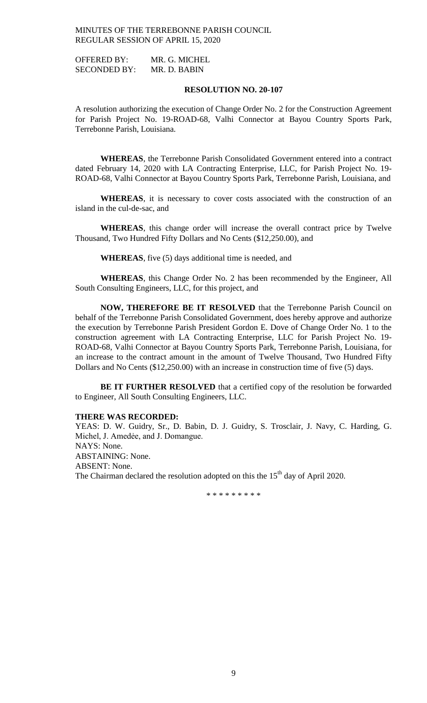OFFERED BY: MR. G. MICHEL SECONDED BY: MR. D. BABIN

### **RESOLUTION NO. 20-107**

A resolution authorizing the execution of Change Order No. 2 for the Construction Agreement for Parish Project No. 19-ROAD-68, Valhi Connector at Bayou Country Sports Park, Terrebonne Parish, Louisiana.

**WHEREAS**, the Terrebonne Parish Consolidated Government entered into a contract dated February 14, 2020 with LA Contracting Enterprise, LLC, for Parish Project No. 19- ROAD-68, Valhi Connector at Bayou Country Sports Park, Terrebonne Parish, Louisiana, and

**WHEREAS**, it is necessary to cover costs associated with the construction of an island in the cul-de-sac, and

**WHEREAS**, this change order will increase the overall contract price by Twelve Thousand, Two Hundred Fifty Dollars and No Cents (\$12,250.00), and

**WHEREAS**, five (5) days additional time is needed, and

**WHEREAS**, this Change Order No. 2 has been recommended by the Engineer, All South Consulting Engineers, LLC, for this project, and

**NOW, THEREFORE BE IT RESOLVED** that the Terrebonne Parish Council on behalf of the Terrebonne Parish Consolidated Government, does hereby approve and authorize the execution by Terrebonne Parish President Gordon E. Dove of Change Order No. 1 to the construction agreement with LA Contracting Enterprise, LLC for Parish Project No. 19- ROAD-68, Valhi Connector at Bayou Country Sports Park, Terrebonne Parish, Louisiana, for an increase to the contract amount in the amount of Twelve Thousand, Two Hundred Fifty Dollars and No Cents (\$12,250.00) with an increase in construction time of five (5) days.

**BE IT FURTHER RESOLVED** that a certified copy of the resolution be forwarded to Engineer, All South Consulting Engineers, LLC.

### **THERE WAS RECORDED:**

YEAS: D. W. Guidry, Sr., D. Babin, D. J. Guidry, S. Trosclair, J. Navy, C. Harding, G. Michel, J. Amedėe, and J. Domangue.

NAYS: None.

ABSTAINING: None.

ABSENT: None.

The Chairman declared the resolution adopted on this the  $15<sup>th</sup>$  day of April 2020.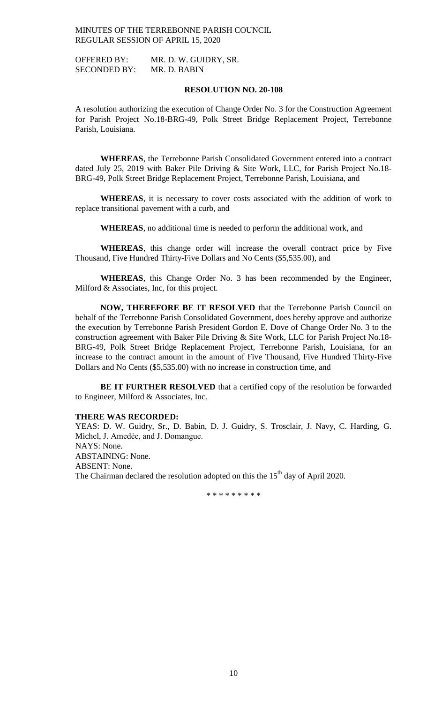OFFERED BY: MR. D. W. GUIDRY, SR. SECONDED BY: MR. D. BABIN

### **RESOLUTION NO. 20-108**

A resolution authorizing the execution of Change Order No. 3 for the Construction Agreement for Parish Project No.18-BRG-49, Polk Street Bridge Replacement Project, Terrebonne Parish, Louisiana.

**WHEREAS**, the Terrebonne Parish Consolidated Government entered into a contract dated July 25, 2019 with Baker Pile Driving & Site Work, LLC, for Parish Project No.18- BRG-49, Polk Street Bridge Replacement Project, Terrebonne Parish, Louisiana, and

**WHEREAS**, it is necessary to cover costs associated with the addition of work to replace transitional pavement with a curb, and

**WHEREAS**, no additional time is needed to perform the additional work, and

**WHEREAS**, this change order will increase the overall contract price by Five Thousand, Five Hundred Thirty-Five Dollars and No Cents (\$5,535.00), and

**WHEREAS**, this Change Order No. 3 has been recommended by the Engineer, Milford & Associates, Inc, for this project.

**NOW, THEREFORE BE IT RESOLVED** that the Terrebonne Parish Council on behalf of the Terrebonne Parish Consolidated Government, does hereby approve and authorize the execution by Terrebonne Parish President Gordon E. Dove of Change Order No. 3 to the construction agreement with Baker Pile Driving & Site Work, LLC for Parish Project No.18- BRG-49, Polk Street Bridge Replacement Project, Terrebonne Parish, Louisiana, for an increase to the contract amount in the amount of Five Thousand, Five Hundred Thirty-Five Dollars and No Cents (\$5,535.00) with no increase in construction time, and

**BE IT FURTHER RESOLVED** that a certified copy of the resolution be forwarded to Engineer, Milford & Associates, Inc.

### **THERE WAS RECORDED:**

YEAS: D. W. Guidry, Sr., D. Babin, D. J. Guidry, S. Trosclair, J. Navy, C. Harding, G. Michel, J. Amedėe, and J. Domangue.

NAYS: None.

ABSTAINING: None.

ABSENT: None.

The Chairman declared the resolution adopted on this the  $15<sup>th</sup>$  day of April 2020.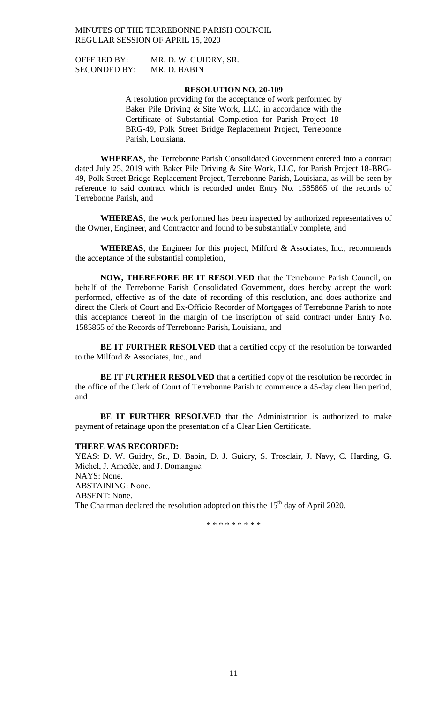SECONDED BY: MR. D. BABIN

OFFERED BY: MR. D. W. GUIDRY, SR.

# **RESOLUTION NO. 20-109**

A resolution providing for the acceptance of work performed by Baker Pile Driving & Site Work, LLC, in accordance with the Certificate of Substantial Completion for Parish Project 18- BRG-49, Polk Street Bridge Replacement Project, Terrebonne Parish, Louisiana.

**WHEREAS**, the Terrebonne Parish Consolidated Government entered into a contract dated July 25, 2019 with Baker Pile Driving & Site Work, LLC, for Parish Project 18-BRG-49, Polk Street Bridge Replacement Project, Terrebonne Parish, Louisiana, as will be seen by reference to said contract which is recorded under Entry No. 1585865 of the records of Terrebonne Parish, and

**WHEREAS**, the work performed has been inspected by authorized representatives of the Owner, Engineer, and Contractor and found to be substantially complete, and

**WHEREAS**, the Engineer for this project, Milford & Associates, Inc., recommends the acceptance of the substantial completion,

**NOW, THEREFORE BE IT RESOLVED** that the Terrebonne Parish Council, on behalf of the Terrebonne Parish Consolidated Government, does hereby accept the work performed, effective as of the date of recording of this resolution, and does authorize and direct the Clerk of Court and Ex-Officio Recorder of Mortgages of Terrebonne Parish to note this acceptance thereof in the margin of the inscription of said contract under Entry No. 1585865 of the Records of Terrebonne Parish, Louisiana, and

**BE IT FURTHER RESOLVED** that a certified copy of the resolution be forwarded to the Milford & Associates, Inc., and

**BE IT FURTHER RESOLVED** that a certified copy of the resolution be recorded in the office of the Clerk of Court of Terrebonne Parish to commence a 45-day clear lien period, and

**BE IT FURTHER RESOLVED** that the Administration is authorized to make payment of retainage upon the presentation of a Clear Lien Certificate.

#### **THERE WAS RECORDED:**

YEAS: D. W. Guidry, Sr., D. Babin, D. J. Guidry, S. Trosclair, J. Navy, C. Harding, G. Michel, J. Amedėe, and J. Domangue. NAYS: None. ABSTAINING: None. ABSENT: None. The Chairman declared the resolution adopted on this the  $15<sup>th</sup>$  day of April 2020.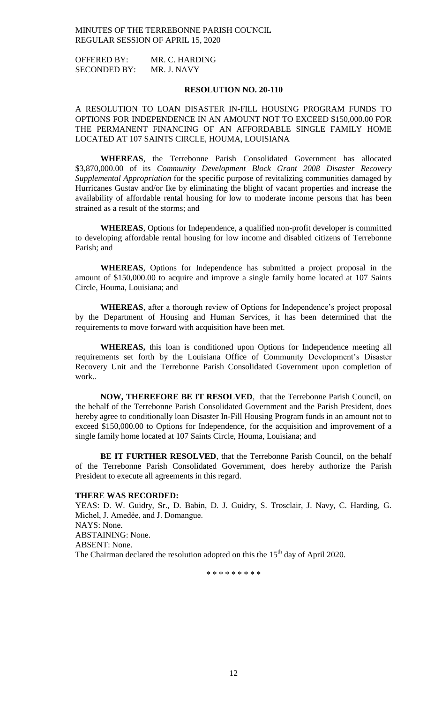OFFERED BY: MR. C. HARDING SECONDED BY: MR. J. NAVY

### **RESOLUTION NO. 20-110**

A RESOLUTION TO LOAN DISASTER IN-FILL HOUSING PROGRAM FUNDS TO OPTIONS FOR INDEPENDENCE IN AN AMOUNT NOT TO EXCEED \$150,000.00 FOR THE PERMANENT FINANCING OF AN AFFORDABLE SINGLE FAMILY HOME LOCATED AT 107 SAINTS CIRCLE, HOUMA, LOUISIANA

**WHEREAS**, the Terrebonne Parish Consolidated Government has allocated \$3,870,000.00 of its *Community Development Block Grant 2008 Disaster Recovery Supplemental Appropriation* for the specific purpose of revitalizing communities damaged by Hurricanes Gustav and/or Ike by eliminating the blight of vacant properties and increase the availability of affordable rental housing for low to moderate income persons that has been strained as a result of the storms; and

**WHEREAS**, Options for Independence, a qualified non-profit developer is committed to developing affordable rental housing for low income and disabled citizens of Terrebonne Parish; and

**WHEREAS**, Options for Independence has submitted a project proposal in the amount of \$150,000.00 to acquire and improve a single family home located at 107 Saints Circle, Houma, Louisiana; and

**WHEREAS**, after a thorough review of Options for Independence's project proposal by the Department of Housing and Human Services, it has been determined that the requirements to move forward with acquisition have been met.

**WHEREAS,** this loan is conditioned upon Options for Independence meeting all requirements set forth by the Louisiana Office of Community Development's Disaster Recovery Unit and the Terrebonne Parish Consolidated Government upon completion of work..

**NOW, THEREFORE BE IT RESOLVED**, that the Terrebonne Parish Council, on the behalf of the Terrebonne Parish Consolidated Government and the Parish President, does hereby agree to conditionally loan Disaster In-Fill Housing Program funds in an amount not to exceed \$150,000.00 to Options for Independence, for the acquisition and improvement of a single family home located at 107 Saints Circle, Houma, Louisiana; and

**BE IT FURTHER RESOLVED**, that the Terrebonne Parish Council, on the behalf of the Terrebonne Parish Consolidated Government, does hereby authorize the Parish President to execute all agreements in this regard.

## **THERE WAS RECORDED:**

YEAS: D. W. Guidry, Sr., D. Babin, D. J. Guidry, S. Trosclair, J. Navy, C. Harding, G. Michel, J. Amedẻe, and J. Domangue. NAYS: None. ABSTAINING: None. ABSENT: None. The Chairman declared the resolution adopted on this the  $15<sup>th</sup>$  day of April 2020.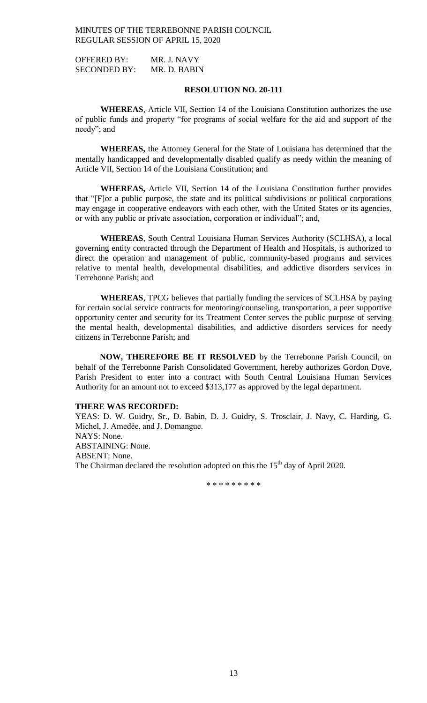OFFERED BY: MR. J. NAVY SECONDED BY: MR. D. BABIN

### **RESOLUTION NO. 20-111**

**WHEREAS**, Article VII, Section 14 of the Louisiana Constitution authorizes the use of public funds and property "for programs of social welfare for the aid and support of the needy"; and

**WHEREAS,** the Attorney General for the State of Louisiana has determined that the mentally handicapped and developmentally disabled qualify as needy within the meaning of Article VII, Section 14 of the Louisiana Constitution; and

**WHEREAS,** Article VII, Section 14 of the Louisiana Constitution further provides that "[F]or a public purpose, the state and its political subdivisions or political corporations may engage in cooperative endeavors with each other, with the United States or its agencies, or with any public or private association, corporation or individual"; and,

**WHEREAS**, South Central Louisiana Human Services Authority (SCLHSA), a local governing entity contracted through the Department of Health and Hospitals, is authorized to direct the operation and management of public, community-based programs and services relative to mental health, developmental disabilities, and addictive disorders services in Terrebonne Parish; and

**WHEREAS**, TPCG believes that partially funding the services of SCLHSA by paying for certain social service contracts for mentoring/counseling, transportation, a peer supportive opportunity center and security for its Treatment Center serves the public purpose of serving the mental health, developmental disabilities, and addictive disorders services for needy citizens in Terrebonne Parish; and

**NOW, THEREFORE BE IT RESOLVED** by the Terrebonne Parish Council, on behalf of the Terrebonne Parish Consolidated Government, hereby authorizes Gordon Dove, Parish President to enter into a contract with South Central Louisiana Human Services Authority for an amount not to exceed \$313,177 as approved by the legal department.

## **THERE WAS RECORDED:**

YEAS: D. W. Guidry, Sr., D. Babin, D. J. Guidry, S. Trosclair, J. Navy, C. Harding, G. Michel, J. Amedée, and J. Domangue. NAYS: None. ABSTAINING: None. ABSENT: None. The Chairman declared the resolution adopted on this the  $15<sup>th</sup>$  day of April 2020.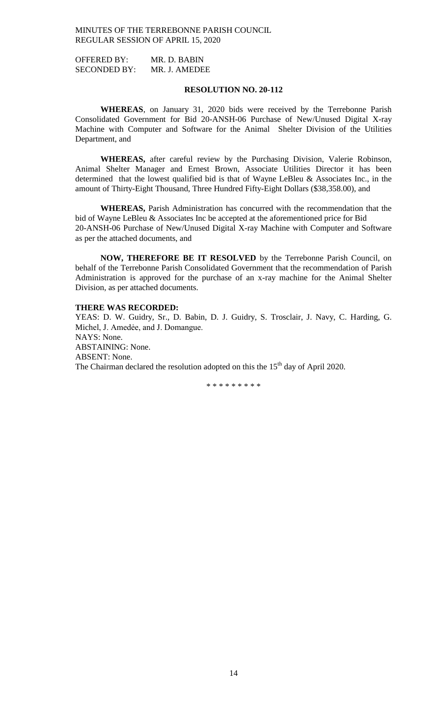OFFERED BY: MR. D. BABIN SECONDED BY: MR. J. AMEDEE

### **RESOLUTION NO. 20-112**

**WHEREAS**, on January 31, 2020 bids were received by the Terrebonne Parish Consolidated Government for Bid 20-ANSH-06 Purchase of New/Unused Digital X-ray Machine with Computer and Software for the Animal Shelter Division of the Utilities Department, and

**WHEREAS,** after careful review by the Purchasing Division, Valerie Robinson, Animal Shelter Manager and Ernest Brown, Associate Utilities Director it has been determined that the lowest qualified bid is that of Wayne LeBleu & Associates Inc., in the amount of Thirty-Eight Thousand, Three Hundred Fifty-Eight Dollars (\$38,358.00), and

**WHEREAS,** Parish Administration has concurred with the recommendation that the bid of Wayne LeBleu & Associates Inc be accepted at the aforementioned price for Bid 20-ANSH-06 Purchase of New/Unused Digital X-ray Machine with Computer and Software as per the attached documents, and

**NOW, THEREFORE BE IT RESOLVED** by the Terrebonne Parish Council, on behalf of the Terrebonne Parish Consolidated Government that the recommendation of Parish Administration is approved for the purchase of an x-ray machine for the Animal Shelter Division, as per attached documents.

## **THERE WAS RECORDED:**

YEAS: D. W. Guidry, Sr., D. Babin, D. J. Guidry, S. Trosclair, J. Navy, C. Harding, G. Michel, J. Amedée, and J. Domangue. NAYS: None. ABSTAINING: None. ABSENT: None. The Chairman declared the resolution adopted on this the  $15<sup>th</sup>$  day of April 2020.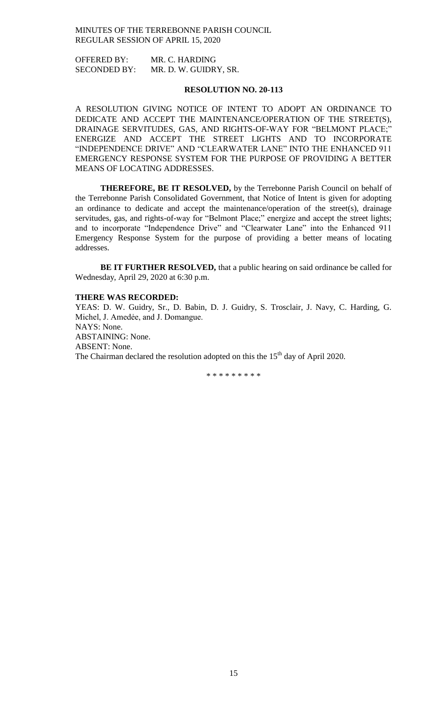OFFERED BY: MR. C. HARDING SECONDED BY: MR. D. W. GUIDRY, SR.

### **RESOLUTION NO. 20-113**

A RESOLUTION GIVING NOTICE OF INTENT TO ADOPT AN ORDINANCE TO DEDICATE AND ACCEPT THE MAINTENANCE/OPERATION OF THE STREET(S), DRAINAGE SERVITUDES, GAS, AND RIGHTS-OF-WAY FOR "BELMONT PLACE;" ENERGIZE AND ACCEPT THE STREET LIGHTS AND TO INCORPORATE "INDEPENDENCE DRIVE" AND "CLEARWATER LANE" INTO THE ENHANCED 911 EMERGENCY RESPONSE SYSTEM FOR THE PURPOSE OF PROVIDING A BETTER MEANS OF LOCATING ADDRESSES.

**THEREFORE, BE IT RESOLVED,** by the Terrebonne Parish Council on behalf of the Terrebonne Parish Consolidated Government, that Notice of Intent is given for adopting an ordinance to dedicate and accept the maintenance/operation of the street(s), drainage servitudes, gas, and rights-of-way for "Belmont Place;" energize and accept the street lights; and to incorporate "Independence Drive" and "Clearwater Lane" into the Enhanced 911 Emergency Response System for the purpose of providing a better means of locating addresses.

**BE IT FURTHER RESOLVED,** that a public hearing on said ordinance be called for Wednesday, April 29, 2020 at 6:30 p.m.

### **THERE WAS RECORDED:**

YEAS: D. W. Guidry, Sr., D. Babin, D. J. Guidry, S. Trosclair, J. Navy, C. Harding, G. Michel, J. Amedée, and J. Domangue. NAYS: None. ABSTAINING: None. ABSENT: None. The Chairman declared the resolution adopted on this the  $15<sup>th</sup>$  day of April 2020.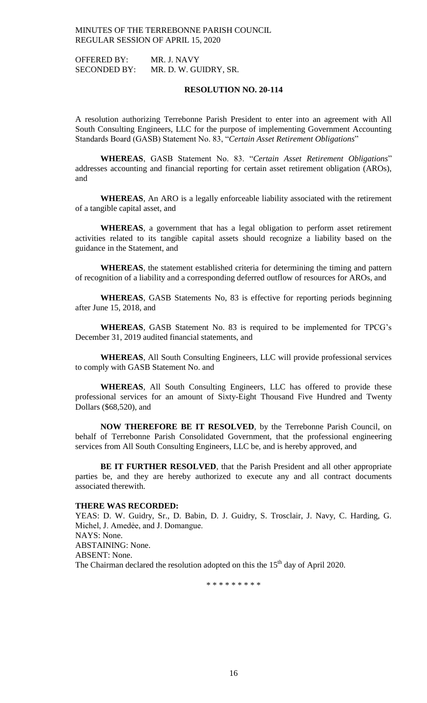OFFERED BY: MR. J. NAVY SECONDED BY: MR. D. W. GUIDRY, SR.

### **RESOLUTION NO. 20-114**

A resolution authorizing Terrebonne Parish President to enter into an agreement with All South Consulting Engineers, LLC for the purpose of implementing Government Accounting Standards Board (GASB) Statement No. 83, "*Certain Asset Retirement Obligations*"

**WHEREAS**, GASB Statement No. 83. "*Certain Asset Retirement Obligations*" addresses accounting and financial reporting for certain asset retirement obligation (AROs), and

**WHEREAS**, An ARO is a legally enforceable liability associated with the retirement of a tangible capital asset, and

**WHEREAS**, a government that has a legal obligation to perform asset retirement activities related to its tangible capital assets should recognize a liability based on the guidance in the Statement, and

**WHEREAS**, the statement established criteria for determining the timing and pattern of recognition of a liability and a corresponding deferred outflow of resources for AROs, and

**WHEREAS**, GASB Statements No, 83 is effective for reporting periods beginning after June 15, 2018, and

**WHEREAS**, GASB Statement No. 83 is required to be implemented for TPCG's December 31, 2019 audited financial statements, and

**WHEREAS**, All South Consulting Engineers, LLC will provide professional services to comply with GASB Statement No. and

**WHEREAS**, All South Consulting Engineers, LLC has offered to provide these professional services for an amount of Sixty-Eight Thousand Five Hundred and Twenty Dollars (\$68,520), and

**NOW THEREFORE BE IT RESOLVED**, by the Terrebonne Parish Council, on behalf of Terrebonne Parish Consolidated Government, that the professional engineering services from All South Consulting Engineers, LLC be, and is hereby approved, and

**BE IT FURTHER RESOLVED**, that the Parish President and all other appropriate parties be, and they are hereby authorized to execute any and all contract documents associated therewith.

## **THERE WAS RECORDED:**

YEAS: D. W. Guidry, Sr., D. Babin, D. J. Guidry, S. Trosclair, J. Navy, C. Harding, G. Michel, J. Amedẻe, and J. Domangue. NAYS: None. ABSTAINING: None. ABSENT: None. The Chairman declared the resolution adopted on this the  $15<sup>th</sup>$  day of April 2020.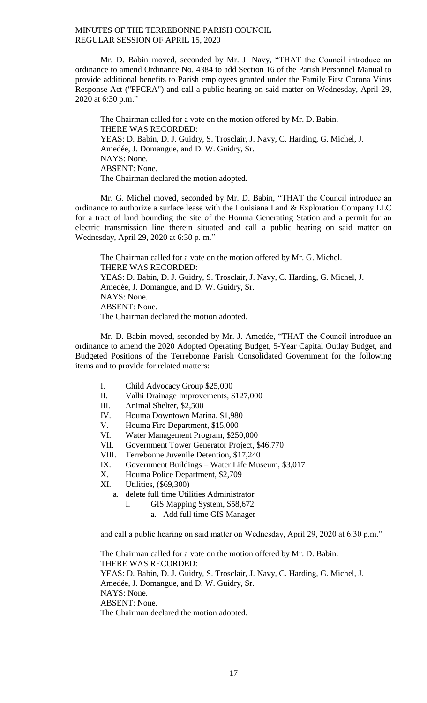Mr. D. Babin moved, seconded by Mr. J. Navy, "THAT the Council introduce an ordinance to amend Ordinance No. 4384 to add Section 16 of the Parish Personnel Manual to provide additional benefits to Parish employees granted under the Family First Corona Virus Response Act ("FFCRA") and call a public hearing on said matter on Wednesday, April 29, 2020 at 6:30 p.m."

The Chairman called for a vote on the motion offered by Mr. D. Babin. THERE WAS RECORDED: YEAS: D. Babin, D. J. Guidry, S. Trosclair, J. Navy, C. Harding, G. Michel, J. Amedée, J. Domangue, and D. W. Guidry, Sr. NAYS: None. ABSENT: None. The Chairman declared the motion adopted.

Mr. G. Michel moved, seconded by Mr. D. Babin, "THAT the Council introduce an ordinance to authorize a surface lease with the Louisiana Land & Exploration Company LLC for a tract of land bounding the site of the Houma Generating Station and a permit for an electric transmission line therein situated and call a public hearing on said matter on Wednesday, April 29, 2020 at 6:30 p. m."

The Chairman called for a vote on the motion offered by Mr. G. Michel. THERE WAS RECORDED: YEAS: D. Babin, D. J. Guidry, S. Trosclair, J. Navy, C. Harding, G. Michel, J. Amedée, J. Domangue, and D. W. Guidry, Sr. NAYS: None. ABSENT: None. The Chairman declared the motion adopted.

Mr. D. Babin moved, seconded by Mr. J. Amedée, "THAT the Council introduce an ordinance to amend the 2020 Adopted Operating Budget, 5-Year Capital Outlay Budget, and Budgeted Positions of the Terrebonne Parish Consolidated Government for the following items and to provide for related matters:

- I. Child Advocacy Group \$25,000
- II. Valhi Drainage Improvements, \$127,000
- III. Animal Shelter, \$2,500
- IV. Houma Downtown Marina, \$1,980
- V. Houma Fire Department, \$15,000
- VI. Water Management Program, \$250,000
- VII. Government Tower Generator Project, \$46,770
- VIII. Terrebonne Juvenile Detention, \$17,240
- IX. Government Buildings Water Life Museum, \$3,017
- X. Houma Police Department, \$2,709
- XI. Utilities, (\$69,300)
	- a. delete full time Utilities Administrator
		- I. GIS Mapping System, \$58,672
			- a. Add full time GIS Manager

and call a public hearing on said matter on Wednesday, April 29, 2020 at 6:30 p.m."

The Chairman called for a vote on the motion offered by Mr. D. Babin. THERE WAS RECORDED: YEAS: D. Babin, D. J. Guidry, S. Trosclair, J. Navy, C. Harding, G. Michel, J. Amedée, J. Domangue, and D. W. Guidry, Sr. NAYS: None. ABSENT: None. The Chairman declared the motion adopted.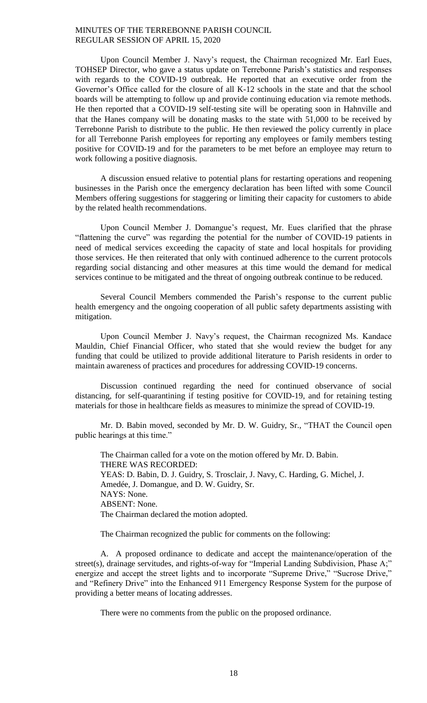Upon Council Member J. Navy's request, the Chairman recognized Mr. Earl Eues, TOHSEP Director, who gave a status update on Terrebonne Parish's statistics and responses with regards to the COVID-19 outbreak. He reported that an executive order from the Governor's Office called for the closure of all K-12 schools in the state and that the school boards will be attempting to follow up and provide continuing education via remote methods. He then reported that a COVID-19 self-testing site will be operating soon in Hahnville and that the Hanes company will be donating masks to the state with 51,000 to be received by Terrebonne Parish to distribute to the public. He then reviewed the policy currently in place for all Terrebonne Parish employees for reporting any employees or family members testing positive for COVID-19 and for the parameters to be met before an employee may return to work following a positive diagnosis.

A discussion ensued relative to potential plans for restarting operations and reopening businesses in the Parish once the emergency declaration has been lifted with some Council Members offering suggestions for staggering or limiting their capacity for customers to abide by the related health recommendations.

Upon Council Member J. Domangue's request, Mr. Eues clarified that the phrase "flattening the curve" was regarding the potential for the number of COVID-19 patients in need of medical services exceeding the capacity of state and local hospitals for providing those services. He then reiterated that only with continued adherence to the current protocols regarding social distancing and other measures at this time would the demand for medical services continue to be mitigated and the threat of ongoing outbreak continue to be reduced.

Several Council Members commended the Parish's response to the current public health emergency and the ongoing cooperation of all public safety departments assisting with mitigation.

Upon Council Member J. Navy's request, the Chairman recognized Ms. Kandace Mauldin, Chief Financial Officer, who stated that she would review the budget for any funding that could be utilized to provide additional literature to Parish residents in order to maintain awareness of practices and procedures for addressing COVID-19 concerns.

Discussion continued regarding the need for continued observance of social distancing, for self-quarantining if testing positive for COVID-19, and for retaining testing materials for those in healthcare fields as measures to minimize the spread of COVID-19.

Mr. D. Babin moved, seconded by Mr. D. W. Guidry, Sr., "THAT the Council open public hearings at this time."

The Chairman called for a vote on the motion offered by Mr. D. Babin. THERE WAS RECORDED: YEAS: D. Babin, D. J. Guidry, S. Trosclair, J. Navy, C. Harding, G. Michel, J. Amedée, J. Domangue, and D. W. Guidry, Sr. NAYS: None. ABSENT: None. The Chairman declared the motion adopted.

The Chairman recognized the public for comments on the following:

A. A proposed ordinance to dedicate and accept the maintenance/operation of the street(s), drainage servitudes, and rights-of-way for "Imperial Landing Subdivision, Phase A;" energize and accept the street lights and to incorporate "Supreme Drive," "Sucrose Drive," and "Refinery Drive" into the Enhanced 911 Emergency Response System for the purpose of providing a better means of locating addresses.

There were no comments from the public on the proposed ordinance.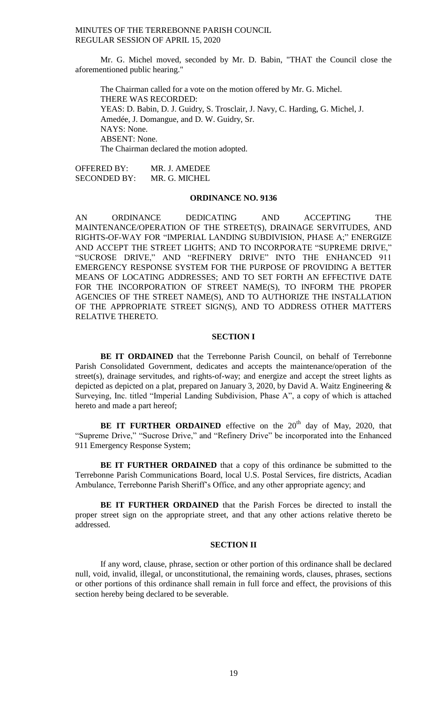Mr. G. Michel moved, seconded by Mr. D. Babin, "THAT the Council close the aforementioned public hearing."

The Chairman called for a vote on the motion offered by Mr. G. Michel. THERE WAS RECORDED: YEAS: D. Babin, D. J. Guidry, S. Trosclair, J. Navy, C. Harding, G. Michel, J. Amedée, J. Domangue, and D. W. Guidry, Sr. NAYS: None. ABSENT: None. The Chairman declared the motion adopted.

OFFERED BY: MR. J. AMEDEE SECONDED BY: MR. G. MICHEL

## **ORDINANCE NO. 9136**

AN ORDINANCE DEDICATING AND ACCEPTING THE MAINTENANCE/OPERATION OF THE STREET(S), DRAINAGE SERVITUDES, AND RIGHTS-OF-WAY FOR "IMPERIAL LANDING SUBDIVISION, PHASE A;" ENERGIZE AND ACCEPT THE STREET LIGHTS; AND TO INCORPORATE "SUPREME DRIVE," "SUCROSE DRIVE," AND "REFINERY DRIVE" INTO THE ENHANCED 911 EMERGENCY RESPONSE SYSTEM FOR THE PURPOSE OF PROVIDING A BETTER MEANS OF LOCATING ADDRESSES; AND TO SET FORTH AN EFFECTIVE DATE FOR THE INCORPORATION OF STREET NAME(S), TO INFORM THE PROPER AGENCIES OF THE STREET NAME(S), AND TO AUTHORIZE THE INSTALLATION OF THE APPROPRIATE STREET SIGN(S), AND TO ADDRESS OTHER MATTERS RELATIVE THERETO.

## **SECTION I**

**BE IT ORDAINED** that the Terrebonne Parish Council, on behalf of Terrebonne Parish Consolidated Government, dedicates and accepts the maintenance/operation of the street(s), drainage servitudes, and rights-of-way; and energize and accept the street lights as depicted as depicted on a plat, prepared on January 3, 2020, by David A. Waitz Engineering & Surveying, Inc. titled "Imperial Landing Subdivision, Phase A", a copy of which is attached hereto and made a part hereof;

**BE IT FURTHER ORDAINED** effective on the 20<sup>th</sup> day of May, 2020, that "Supreme Drive," "Sucrose Drive," and "Refinery Drive" be incorporated into the Enhanced 911 Emergency Response System;

**BE IT FURTHER ORDAINED** that a copy of this ordinance be submitted to the Terrebonne Parish Communications Board, local U.S. Postal Services, fire districts, Acadian Ambulance, Terrebonne Parish Sheriff's Office, and any other appropriate agency; and

**BE IT FURTHER ORDAINED** that the Parish Forces be directed to install the proper street sign on the appropriate street, and that any other actions relative thereto be addressed.

### **SECTION II**

If any word, clause, phrase, section or other portion of this ordinance shall be declared null, void, invalid, illegal, or unconstitutional, the remaining words, clauses, phrases, sections or other portions of this ordinance shall remain in full force and effect, the provisions of this section hereby being declared to be severable.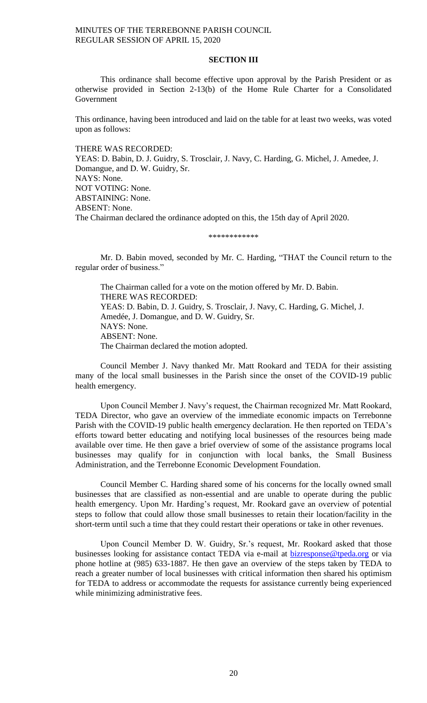## **SECTION III**

This ordinance shall become effective upon approval by the Parish President or as otherwise provided in Section 2-13(b) of the Home Rule Charter for a Consolidated **Government** 

This ordinance, having been introduced and laid on the table for at least two weeks, was voted upon as follows:

THERE WAS RECORDED: YEAS: D. Babin, D. J. Guidry, S. Trosclair, J. Navy, C. Harding, G. Michel, J. Amedee, J. Domangue, and D. W. Guidry, Sr. NAYS: None. NOT VOTING: None. ABSTAINING: None. ABSENT: None. The Chairman declared the ordinance adopted on this, the 15th day of April 2020.

\*\*\*\*\*\*\*\*\*\*\*\*

Mr. D. Babin moved, seconded by Mr. C. Harding, "THAT the Council return to the regular order of business."

The Chairman called for a vote on the motion offered by Mr. D. Babin. THERE WAS RECORDED: YEAS: D. Babin, D. J. Guidry, S. Trosclair, J. Navy, C. Harding, G. Michel, J. Amedée, J. Domangue, and D. W. Guidry, Sr. NAYS: None. ABSENT: None. The Chairman declared the motion adopted.

Council Member J. Navy thanked Mr. Matt Rookard and TEDA for their assisting many of the local small businesses in the Parish since the onset of the COVID-19 public health emergency.

Upon Council Member J. Navy's request, the Chairman recognized Mr. Matt Rookard, TEDA Director, who gave an overview of the immediate economic impacts on Terrebonne Parish with the COVID-19 public health emergency declaration. He then reported on TEDA's efforts toward better educating and notifying local businesses of the resources being made available over time. He then gave a brief overview of some of the assistance programs local businesses may qualify for in conjunction with local banks, the Small Business Administration, and the Terrebonne Economic Development Foundation.

Council Member C. Harding shared some of his concerns for the locally owned small businesses that are classified as non-essential and are unable to operate during the public health emergency. Upon Mr. Harding's request, Mr. Rookard gave an overview of potential steps to follow that could allow those small businesses to retain their location/facility in the short-term until such a time that they could restart their operations or take in other revenues.

Upon Council Member D. W. Guidry, Sr.'s request, Mr. Rookard asked that those businesses looking for assistance contact TEDA via e-mail at **bizresponse@tpeda.org** or via phone hotline at (985) 633-1887. He then gave an overview of the steps taken by TEDA to reach a greater number of local businesses with critical information then shared his optimism for TEDA to address or accommodate the requests for assistance currently being experienced while minimizing administrative fees.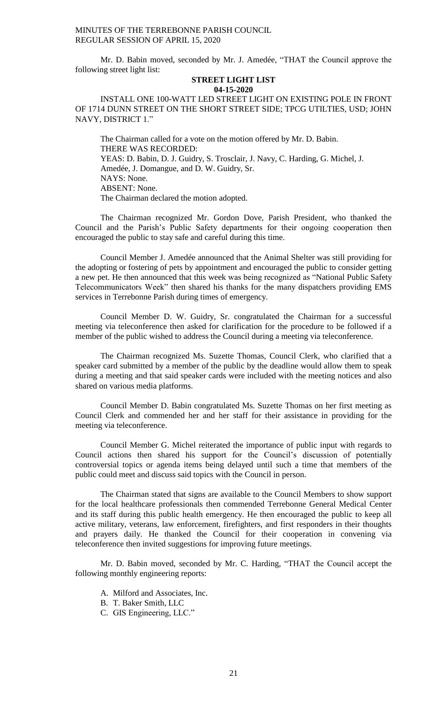Mr. D. Babin moved, seconded by Mr. J. Amedée, "THAT the Council approve the following street light list:

### **STREET LIGHT LIST 04-15-2020**

INSTALL ONE 100-WATT LED STREET LIGHT ON EXISTING POLE IN FRONT OF 1714 DUNN STREET ON THE SHORT STREET SIDE; TPCG UTILTIES, USD; JOHN NAVY, DISTRICT 1."

The Chairman called for a vote on the motion offered by Mr. D. Babin. THERE WAS RECORDED: YEAS: D. Babin, D. J. Guidry, S. Trosclair, J. Navy, C. Harding, G. Michel, J. Amedée, J. Domangue, and D. W. Guidry, Sr. NAYS: None. ABSENT: None. The Chairman declared the motion adopted.

The Chairman recognized Mr. Gordon Dove, Parish President, who thanked the Council and the Parish's Public Safety departments for their ongoing cooperation then encouraged the public to stay safe and careful during this time.

Council Member J. Amedée announced that the Animal Shelter was still providing for the adopting or fostering of pets by appointment and encouraged the public to consider getting a new pet. He then announced that this week was being recognized as "National Public Safety Telecommunicators Week" then shared his thanks for the many dispatchers providing EMS services in Terrebonne Parish during times of emergency.

Council Member D. W. Guidry, Sr. congratulated the Chairman for a successful meeting via teleconference then asked for clarification for the procedure to be followed if a member of the public wished to address the Council during a meeting via teleconference.

The Chairman recognized Ms. Suzette Thomas, Council Clerk, who clarified that a speaker card submitted by a member of the public by the deadline would allow them to speak during a meeting and that said speaker cards were included with the meeting notices and also shared on various media platforms.

Council Member D. Babin congratulated Ms. Suzette Thomas on her first meeting as Council Clerk and commended her and her staff for their assistance in providing for the meeting via teleconference.

Council Member G. Michel reiterated the importance of public input with regards to Council actions then shared his support for the Council's discussion of potentially controversial topics or agenda items being delayed until such a time that members of the public could meet and discuss said topics with the Council in person.

The Chairman stated that signs are available to the Council Members to show support for the local healthcare professionals then commended Terrebonne General Medical Center and its staff during this public health emergency. He then encouraged the public to keep all active military, veterans, law enforcement, firefighters, and first responders in their thoughts and prayers daily. He thanked the Council for their cooperation in convening via teleconference then invited suggestions for improving future meetings.

Mr. D. Babin moved, seconded by Mr. C. Harding, "THAT the Council accept the following monthly engineering reports:

- A. Milford and Associates, Inc.
- B. T. Baker Smith, LLC
- C. GIS Engineering, LLC."